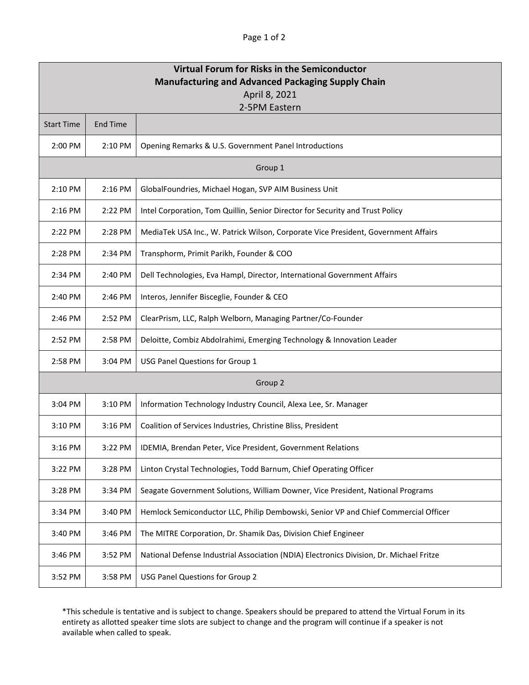## Page 1 of 2

| Virtual Forum for Risks in the Semiconductor<br><b>Manufacturing and Advanced Packaging Supply Chain</b><br>April 8, 2021 |          |                                                                                         |  |
|---------------------------------------------------------------------------------------------------------------------------|----------|-----------------------------------------------------------------------------------------|--|
| 2-5PM Eastern                                                                                                             |          |                                                                                         |  |
| <b>Start Time</b>                                                                                                         | End Time |                                                                                         |  |
| 2:00 PM                                                                                                                   | 2:10 PM  | Opening Remarks & U.S. Government Panel Introductions                                   |  |
| Group 1                                                                                                                   |          |                                                                                         |  |
| 2:10 PM                                                                                                                   | 2:16 PM  | GlobalFoundries, Michael Hogan, SVP AIM Business Unit                                   |  |
| $2:16$ PM                                                                                                                 | 2:22 PM  | Intel Corporation, Tom Quillin, Senior Director for Security and Trust Policy           |  |
| 2:22 PM                                                                                                                   | 2:28 PM  | MediaTek USA Inc., W. Patrick Wilson, Corporate Vice President, Government Affairs      |  |
| 2:28 PM                                                                                                                   | 2:34 PM  | Transphorm, Primit Parikh, Founder & COO                                                |  |
| 2:34 PM                                                                                                                   | 2:40 PM  | Dell Technologies, Eva Hampl, Director, International Government Affairs                |  |
| 2:40 PM                                                                                                                   | 2:46 PM  | Interos, Jennifer Bisceglie, Founder & CEO                                              |  |
| 2:46 PM                                                                                                                   | 2:52 PM  | ClearPrism, LLC, Ralph Welborn, Managing Partner/Co-Founder                             |  |
| 2:52 PM                                                                                                                   | 2:58 PM  | Deloitte, Combiz Abdolrahimi, Emerging Technology & Innovation Leader                   |  |
| 2:58 PM                                                                                                                   | 3:04 PM  | USG Panel Questions for Group 1                                                         |  |
| Group 2                                                                                                                   |          |                                                                                         |  |
| 3:04 PM                                                                                                                   | 3:10 PM  | Information Technology Industry Council, Alexa Lee, Sr. Manager                         |  |
| 3:10 PM                                                                                                                   | 3:16 PM  | Coalition of Services Industries, Christine Bliss, President                            |  |
| 3:16 PM                                                                                                                   | 3:22 PM  | IDEMIA, Brendan Peter, Vice President, Government Relations                             |  |
| 3:22 PM                                                                                                                   | 3:28 PM  | Linton Crystal Technologies, Todd Barnum, Chief Operating Officer                       |  |
| 3:28 PM                                                                                                                   | 3:34 PM  | Seagate Government Solutions, William Downer, Vice President, National Programs         |  |
| 3:34 PM                                                                                                                   | 3:40 PM  | Hemlock Semiconductor LLC, Philip Dembowski, Senior VP and Chief Commercial Officer     |  |
| 3:40 PM                                                                                                                   | 3:46 PM  | The MITRE Corporation, Dr. Shamik Das, Division Chief Engineer                          |  |
| 3:46 PM                                                                                                                   | 3:52 PM  | National Defense Industrial Association (NDIA) Electronics Division, Dr. Michael Fritze |  |
| 3:52 PM                                                                                                                   | 3:58 PM  | USG Panel Questions for Group 2                                                         |  |

\*This schedule is tentative and is subject to change. Speakers should be prepared to attend the Virtual Forum in its entirety as allotted speaker time slots are subject to change and the program will continue if a speaker is not available when called to speak.